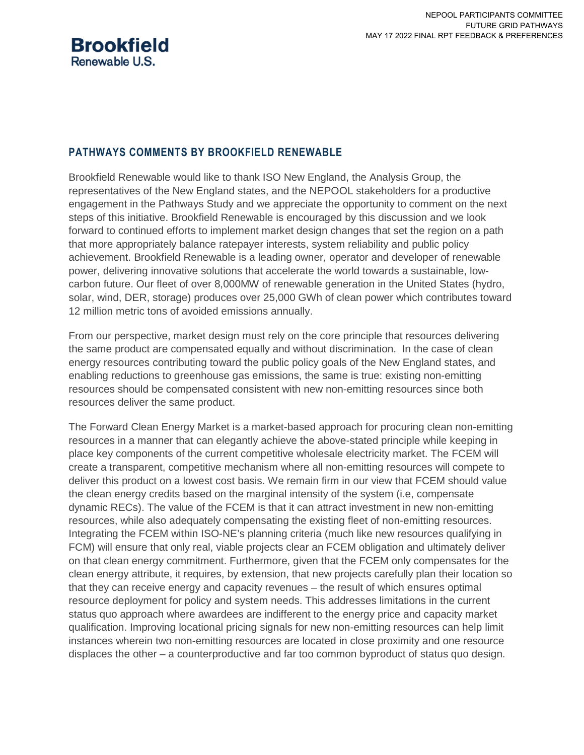

## **PATHWAYS COMMENTS BY BROOKFIELD RENEWABLE**

Brookfield Renewable would like to thank ISO New England, the Analysis Group, the representatives of the New England states, and the NEPOOL stakeholders for a productive engagement in the Pathways Study and we appreciate the opportunity to comment on the next steps of this initiative. Brookfield Renewable is encouraged by this discussion and we look forward to continued efforts to implement market design changes that set the region on a path that more appropriately balance ratepayer interests, system reliability and public policy achievement. Brookfield Renewable is a leading owner, operator and developer of renewable power, delivering innovative solutions that accelerate the world towards a sustainable, lowcarbon future. Our fleet of over 8,000MW of renewable generation in the United States (hydro, solar, wind, DER, storage) produces over 25,000 GWh of clean power which contributes toward 12 million metric tons of avoided emissions annually.

From our perspective, market design must rely on the core principle that resources delivering the same product are compensated equally and without discrimination. In the case of clean energy resources contributing toward the public policy goals of the New England states, and enabling reductions to greenhouse gas emissions, the same is true: existing non-emitting resources should be compensated consistent with new non-emitting resources since both resources deliver the same product.

The Forward Clean Energy Market is a market-based approach for procuring clean non-emitting resources in a manner that can elegantly achieve the above-stated principle while keeping in place key components of the current competitive wholesale electricity market. The FCEM will create a transparent, competitive mechanism where all non-emitting resources will compete to deliver this product on a lowest cost basis. We remain firm in our view that FCEM should value the clean energy credits based on the marginal intensity of the system (i.e, compensate dynamic RECs). The value of the FCEM is that it can attract investment in new non-emitting resources, while also adequately compensating the existing fleet of non-emitting resources. Integrating the FCEM within ISO-NE's planning criteria (much like new resources qualifying in FCM) will ensure that only real, viable projects clear an FCEM obligation and ultimately deliver on that clean energy commitment. Furthermore, given that the FCEM only compensates for the clean energy attribute, it requires, by extension, that new projects carefully plan their location so that they can receive energy and capacity revenues – the result of which ensures optimal resource deployment for policy and system needs. This addresses limitations in the current status quo approach where awardees are indifferent to the energy price and capacity market qualification. Improving locational pricing signals for new non-emitting resources can help limit instances wherein two non-emitting resources are located in close proximity and one resource displaces the other – a counterproductive and far too common byproduct of status quo design.